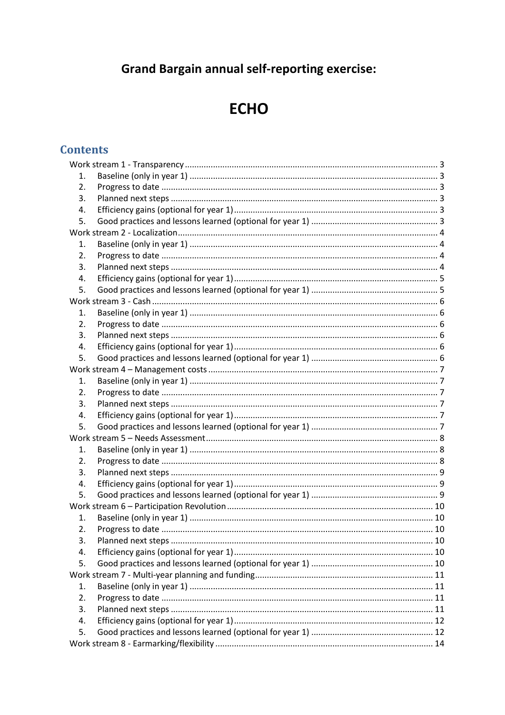# **Grand Bargain annual self-reporting exercise:**

# **ECHO**

# **Contents**

| 1. |  |  |  |
|----|--|--|--|
| 2. |  |  |  |
| 3. |  |  |  |
| 4. |  |  |  |
| 5. |  |  |  |
|    |  |  |  |
| 1. |  |  |  |
| 2. |  |  |  |
| 3. |  |  |  |
| 4. |  |  |  |
| 5. |  |  |  |
|    |  |  |  |
| 1. |  |  |  |
| 2. |  |  |  |
| 3. |  |  |  |
| 4. |  |  |  |
| 5. |  |  |  |
|    |  |  |  |
| 1. |  |  |  |
| 2. |  |  |  |
| 3. |  |  |  |
| 4. |  |  |  |
| 5. |  |  |  |
|    |  |  |  |
| 1. |  |  |  |
| 2. |  |  |  |
| 3. |  |  |  |
| 4. |  |  |  |
| 5. |  |  |  |
|    |  |  |  |
| 1. |  |  |  |
| 2. |  |  |  |
| 3. |  |  |  |
| 4. |  |  |  |
| 5. |  |  |  |
|    |  |  |  |
| 1. |  |  |  |
| 2. |  |  |  |
| 3. |  |  |  |
| 4. |  |  |  |
| 5. |  |  |  |
|    |  |  |  |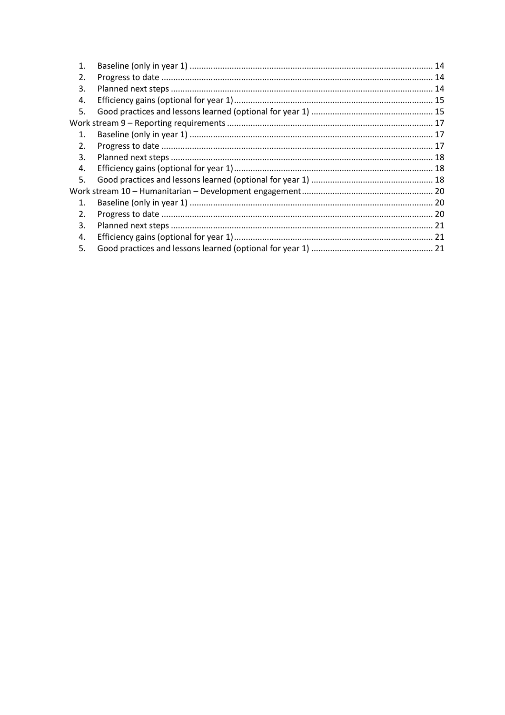| 1.             |  |  |
|----------------|--|--|
| 2.             |  |  |
| 3.             |  |  |
| 4.             |  |  |
| 5.             |  |  |
|                |  |  |
| $\mathbf{1}$ . |  |  |
| 2.             |  |  |
| 3.             |  |  |
| 4.             |  |  |
| 5.             |  |  |
|                |  |  |
| $\mathbf{1}$ . |  |  |
| 2.             |  |  |
| 3.             |  |  |
| 4.             |  |  |
| 5.             |  |  |
|                |  |  |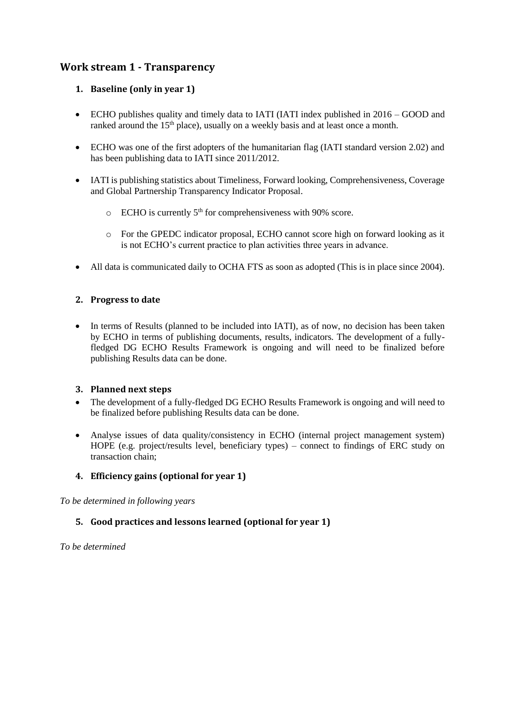# <span id="page-2-1"></span><span id="page-2-0"></span>**Work stream 1 - Transparency**

#### **1. Baseline (only in year 1)**

- ECHO publishes quality and timely data to IATI (IATI index published in 2016 GOOD and ranked around the 15<sup>th</sup> place), usually on a weekly basis and at least once a month.
- ECHO was one of the first adopters of the humanitarian flag (IATI standard version 2.02) and has been publishing data to IATI since 2011/2012.
- IATI is publishing statistics about Timeliness, Forward looking, Comprehensiveness, Coverage and Global Partnership Transparency Indicator Proposal.
	- $\circ$  ECHO is currently 5<sup>th</sup> for comprehensiveness with 90% score.
	- o For the GPEDC indicator proposal, ECHO cannot score high on forward looking as it is not ECHO's current practice to plan activities three years in advance.
- All data is communicated daily to OCHA FTS as soon as adopted (This is in place since 2004).

#### <span id="page-2-2"></span>**2. Progress to date**

• In terms of Results (planned to be included into IATI), as of now, no decision has been taken by ECHO in terms of publishing documents, results, indicators. The development of a fullyfledged DG ECHO Results Framework is ongoing and will need to be finalized before publishing Results data can be done.

#### <span id="page-2-3"></span>**3. Planned next steps**

- The development of a fully-fledged DG ECHO Results Framework is ongoing and will need to be finalized before publishing Results data can be done.
- Analyse issues of data quality/consistency in ECHO (internal project management system) HOPE (e.g. project/results level, beneficiary types) – connect to findings of ERC study on transaction chain;

# <span id="page-2-4"></span>**4. Efficiency gains (optional for year 1)**

<span id="page-2-5"></span>*To be determined in following years*

#### **5. Good practices and lessons learned (optional for year 1)**

*To be determined*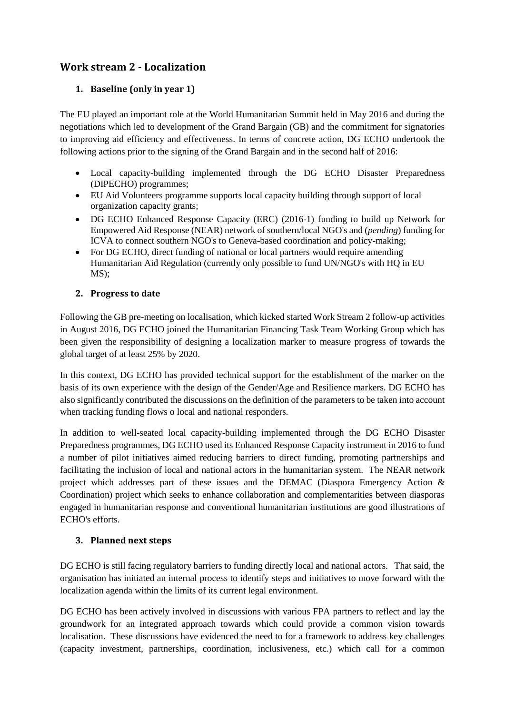# <span id="page-3-1"></span><span id="page-3-0"></span>**Work stream 2 - Localization**

# **1. Baseline (only in year 1)**

The EU played an important role at the World Humanitarian Summit held in May 2016 and during the negotiations which led to development of the Grand Bargain (GB) and the commitment for signatories to improving aid efficiency and effectiveness. In terms of concrete action, DG ECHO undertook the following actions prior to the signing of the Grand Bargain and in the second half of 2016:

- Local capacity-building implemented through the DG ECHO Disaster Preparedness (DIPECHO) programmes;
- EU Aid Volunteers programme supports local capacity building through support of local organization capacity grants;
- DG ECHO Enhanced Response Capacity (ERC) (2016-1) funding to build up Network for Empowered Aid Response (NEAR) network of southern/local NGO's and (*pending*) funding for ICVA to connect southern NGO's to Geneva-based coordination and policy-making;
- For DG ECHO, direct funding of national or local partners would require amending Humanitarian Aid Regulation (currently only possible to fund UN/NGO's with HQ in EU MS);

# <span id="page-3-2"></span>**2. Progress to date**

Following the GB pre-meeting on localisation, which kicked started Work Stream 2 follow-up activities in August 2016, DG ECHO joined the Humanitarian Financing Task Team Working Group which has been given the responsibility of designing a localization marker to measure progress of towards the global target of at least 25% by 2020.

In this context, DG ECHO has provided technical support for the establishment of the marker on the basis of its own experience with the design of the Gender/Age and Resilience markers. DG ECHO has also significantly contributed the discussions on the definition of the parameters to be taken into account when tracking funding flows o local and national responders.

In addition to well-seated local capacity-building implemented through the DG ECHO Disaster Preparedness programmes, DG ECHO used its Enhanced Response Capacity instrument in 2016 to fund a number of pilot initiatives aimed reducing barriers to direct funding, promoting partnerships and facilitating the inclusion of local and national actors in the humanitarian system. The NEAR network project which addresses part of these issues and the DEMAC (Diaspora Emergency Action & Coordination) project which seeks to enhance collaboration and complementarities between diasporas engaged in humanitarian response and conventional humanitarian institutions are good illustrations of ECHO's efforts.

# <span id="page-3-3"></span>**3. Planned next steps**

DG ECHO is still facing regulatory barriers to funding directly local and national actors. That said, the organisation has initiated an internal process to identify steps and initiatives to move forward with the localization agenda within the limits of its current legal environment.

DG ECHO has been actively involved in discussions with various FPA partners to reflect and lay the groundwork for an integrated approach towards which could provide a common vision towards localisation. These discussions have evidenced the need to for a framework to address key challenges (capacity investment, partnerships, coordination, inclusiveness, etc.) which call for a common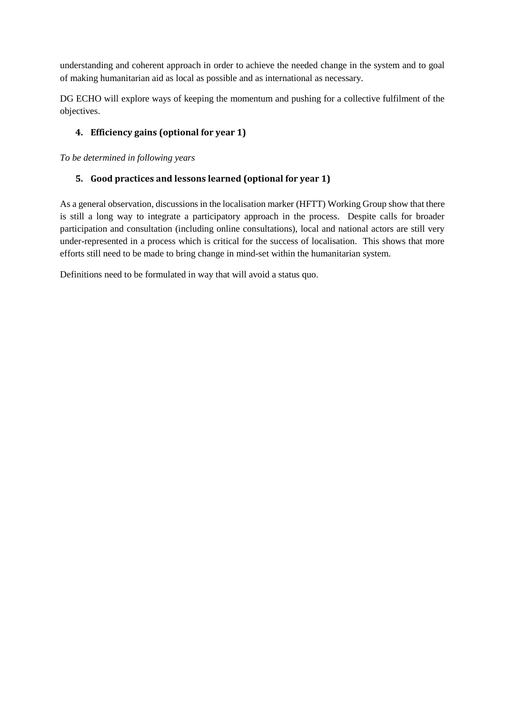understanding and coherent approach in order to achieve the needed change in the system and to goal of making humanitarian aid as local as possible and as international as necessary.

DG ECHO will explore ways of keeping the momentum and pushing for a collective fulfilment of the objectives.

# <span id="page-4-0"></span>**4. Efficiency gains (optional for year 1)**

<span id="page-4-1"></span>*To be determined in following years*

# **5. Good practices and lessons learned (optional for year 1)**

As a general observation, discussions in the localisation marker (HFTT) Working Group show that there is still a long way to integrate a participatory approach in the process. Despite calls for broader participation and consultation (including online consultations), local and national actors are still very under-represented in a process which is critical for the success of localisation. This shows that more efforts still need to be made to bring change in mind-set within the humanitarian system.

Definitions need to be formulated in way that will avoid a status quo.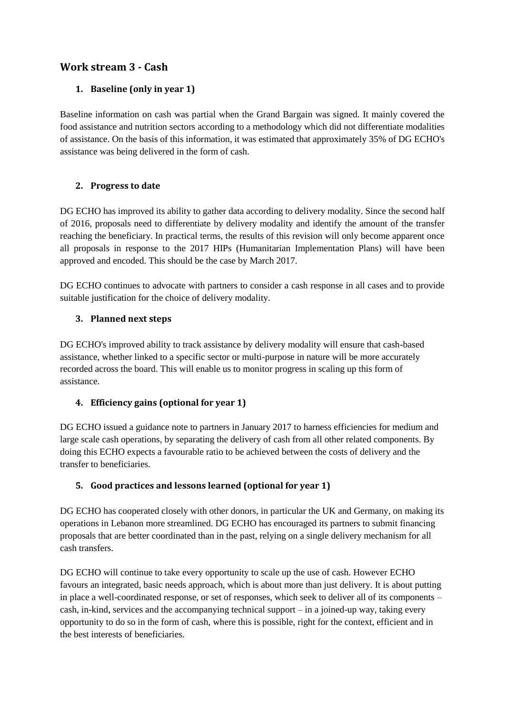# <span id="page-5-1"></span><span id="page-5-0"></span>**Work stream 3 - Cash**

# **1. Baseline (only in year 1)**

Baseline information on cash was partial when the Grand Bargain was signed. It mainly covered the food assistance and nutrition sectors according to a methodology which did not differentiate modalities of assistance. On the basis of this information, it was estimated that approximately 35% of DG ECHO's assistance was being delivered in the form of cash.

# <span id="page-5-2"></span>**2. Progress to date**

DG ECHO has improved its ability to gather data according to delivery modality. Since the second half of 2016, proposals need to differentiate by delivery modality and identify the amount of the transfer reaching the beneficiary. In practical terms, the results of this revision will only become apparent once all proposals in response to the 2017 HIPs (Humanitarian Implementation Plans) will have been approved and encoded. This should be the case by March 2017.

DG ECHO continues to advocate with partners to consider a cash response in all cases and to provide suitable justification for the choice of delivery modality.

# <span id="page-5-3"></span>**3. Planned next steps**

DG ECHO's improved ability to track assistance by delivery modality will ensure that cash-based assistance, whether linked to a specific sector or multi-purpose in nature will be more accurately recorded across the board. This will enable us to monitor progress in scaling up this form of assistance.

# <span id="page-5-4"></span>**4. Efficiency gains (optional for year 1)**

DG ECHO issued a guidance note to partners in January 2017 to harness efficiencies for medium and large scale cash operations, by separating the delivery of cash from all other related components. By doing this ECHO expects a favourable ratio to be achieved between the costs of delivery and the transfer to beneficiaries.

# <span id="page-5-5"></span>**5. Good practices and lessons learned (optional for year 1)**

DG ECHO has cooperated closely with other donors, in particular the UK and Germany, on making its operations in Lebanon more streamlined. DG ECHO has encouraged its partners to submit financing proposals that are better coordinated than in the past, relying on a single delivery mechanism for all cash transfers.

DG ECHO will continue to take every opportunity to scale up the use of cash. However ECHO favours an integrated, basic needs approach, which is about more than just delivery. It is about putting in place a well-coordinated response, or set of responses, which seek to deliver all of its components – cash, in-kind, services and the accompanying technical support – in a joined-up way, taking every opportunity to do so in the form of cash, where this is possible, right for the context, efficient and in the best interests of beneficiaries.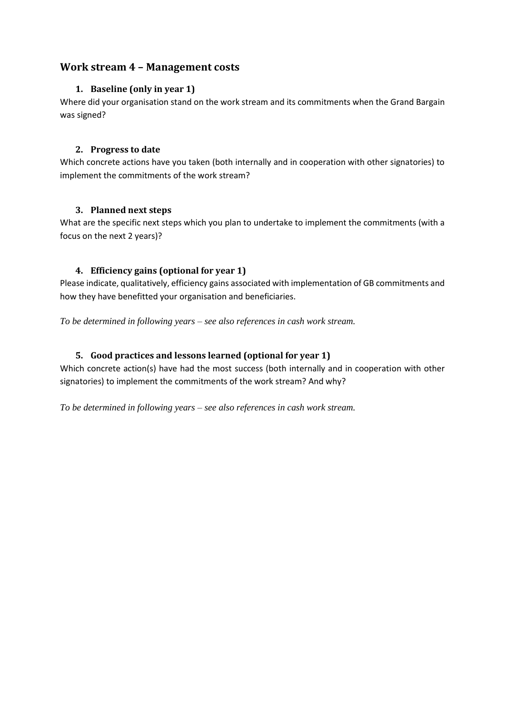# <span id="page-6-1"></span><span id="page-6-0"></span>**Work stream 4 – Management costs**

#### **1. Baseline (only in year 1)**

Where did your organisation stand on the work stream and its commitments when the Grand Bargain was signed?

#### <span id="page-6-2"></span>**2. Progress to date**

Which concrete actions have you taken (both internally and in cooperation with other signatories) to implement the commitments of the work stream?

#### <span id="page-6-3"></span>**3. Planned next steps**

What are the specific next steps which you plan to undertake to implement the commitments (with a focus on the next 2 years)?

#### <span id="page-6-4"></span>**4. Efficiency gains (optional for year 1)**

Please indicate, qualitatively, efficiency gains associated with implementation of GB commitments and how they have benefitted your organisation and beneficiaries.

*To be determined in following years – see also references in cash work stream.*

# <span id="page-6-5"></span>**5. Good practices and lessons learned (optional for year 1)**

Which concrete action(s) have had the most success (both internally and in cooperation with other signatories) to implement the commitments of the work stream? And why?

*To be determined in following years – see also references in cash work stream.*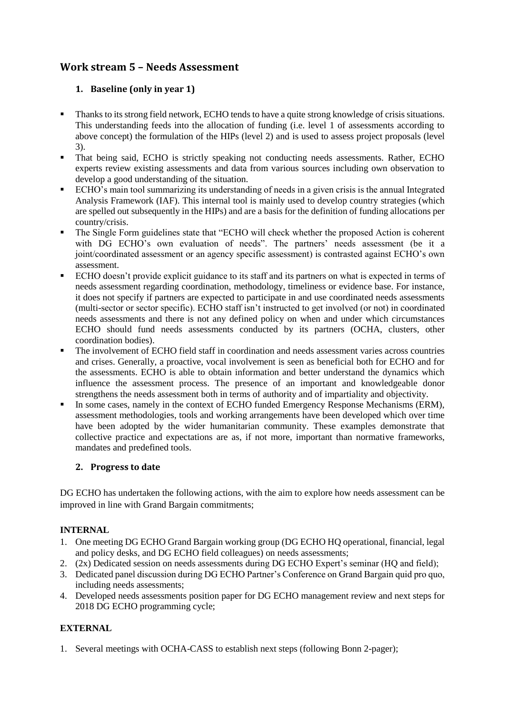# <span id="page-7-1"></span><span id="page-7-0"></span>**Work stream 5 – Needs Assessment**

# **1. Baseline (only in year 1)**

- Thanks to its strong field network, ECHO tends to have a quite strong knowledge of crisis situations. This understanding feeds into the allocation of funding (i.e. level 1 of assessments according to above concept) the formulation of the HIPs (level 2) and is used to assess project proposals (level 3).
- That being said, ECHO is strictly speaking not conducting needs assessments. Rather, ECHO experts review existing assessments and data from various sources including own observation to develop a good understanding of the situation.
- ECHO's main tool summarizing its understanding of needs in a given crisis is the annual Integrated Analysis Framework (IAF). This internal tool is mainly used to develop country strategies (which are spelled out subsequently in the HIPs) and are a basis for the definition of funding allocations per country/crisis.
- The Single Form guidelines state that "ECHO will check whether the proposed Action is coherent with DG ECHO's own evaluation of needs". The partners' needs assessment (be it a joint/coordinated assessment or an agency specific assessment) is contrasted against ECHO's own assessment.
- ECHO doesn't provide explicit guidance to its staff and its partners on what is expected in terms of needs assessment regarding coordination, methodology, timeliness or evidence base. For instance, it does not specify if partners are expected to participate in and use coordinated needs assessments (multi-sector or sector specific). ECHO staff isn't instructed to get involved (or not) in coordinated needs assessments and there is not any defined policy on when and under which circumstances ECHO should fund needs assessments conducted by its partners (OCHA, clusters, other coordination bodies).
- The involvement of ECHO field staff in coordination and needs assessment varies across countries and crises. Generally, a proactive, vocal involvement is seen as beneficial both for ECHO and for the assessments. ECHO is able to obtain information and better understand the dynamics which influence the assessment process. The presence of an important and knowledgeable donor strengthens the needs assessment both in terms of authority and of impartiality and objectivity.
- In some cases, namely in the context of ECHO funded Emergency Response Mechanisms (ERM), assessment methodologies, tools and working arrangements have been developed which over time have been adopted by the wider humanitarian community. These examples demonstrate that collective practice and expectations are as, if not more, important than normative frameworks, mandates and predefined tools.

# <span id="page-7-2"></span>**2. Progress to date**

DG ECHO has undertaken the following actions, with the aim to explore how needs assessment can be improved in line with Grand Bargain commitments;

#### **INTERNAL**

- 1. One meeting DG ECHO Grand Bargain working group (DG ECHO HQ operational, financial, legal and policy desks, and DG ECHO field colleagues) on needs assessments;
- 2. (2x) Dedicated session on needs assessments during DG ECHO Expert's seminar (HQ and field);
- 3. Dedicated panel discussion during DG ECHO Partner's Conference on Grand Bargain quid pro quo, including needs assessments;
- 4. Developed needs assessments position paper for DG ECHO management review and next steps for 2018 DG ECHO programming cycle;

# **EXTERNAL**

1. Several meetings with OCHA-CASS to establish next steps (following Bonn 2-pager);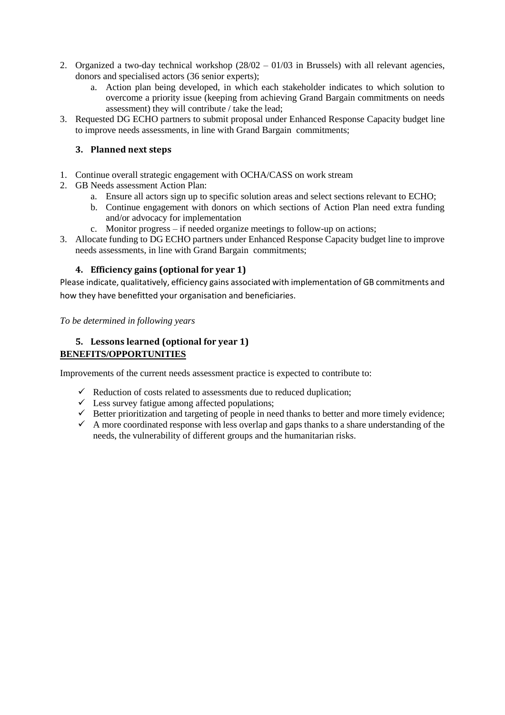- 2. Organized a two-day technical workshop (28/02 01/03 in Brussels) with all relevant agencies, donors and specialised actors (36 senior experts);
	- a. Action plan being developed, in which each stakeholder indicates to which solution to overcome a priority issue (keeping from achieving Grand Bargain commitments on needs assessment) they will contribute / take the lead;
- 3. Requested DG ECHO partners to submit proposal under Enhanced Response Capacity budget line to improve needs assessments, in line with Grand Bargain commitments;

#### <span id="page-8-0"></span>**3. Planned next steps**

- 1. Continue overall strategic engagement with OCHA/CASS on work stream
- 2. GB Needs assessment Action Plan:
	- a. Ensure all actors sign up to specific solution areas and select sections relevant to ECHO;
	- b. Continue engagement with donors on which sections of Action Plan need extra funding and/or advocacy for implementation
	- c. Monitor progress if needed organize meetings to follow-up on actions;
- 3. Allocate funding to DG ECHO partners under Enhanced Response Capacity budget line to improve needs assessments, in line with Grand Bargain commitments;

#### <span id="page-8-1"></span>**4. Efficiency gains (optional for year 1)**

Please indicate, qualitatively, efficiency gains associated with implementation of GB commitments and how they have benefitted your organisation and beneficiaries.

*To be determined in following years*

#### <span id="page-8-2"></span>**5. Lessons learned (optional for year 1) BENEFITS/OPPORTUNITIES**

Improvements of the current needs assessment practice is expected to contribute to:

- $\checkmark$  Reduction of costs related to assessments due to reduced duplication;
- $\checkmark$  Less survey fatigue among affected populations;
- $\checkmark$  Better prioritization and targeting of people in need thanks to better and more timely evidence;
- $\checkmark$  A more coordinated response with less overlap and gaps thanks to a share understanding of the needs, the vulnerability of different groups and the humanitarian risks.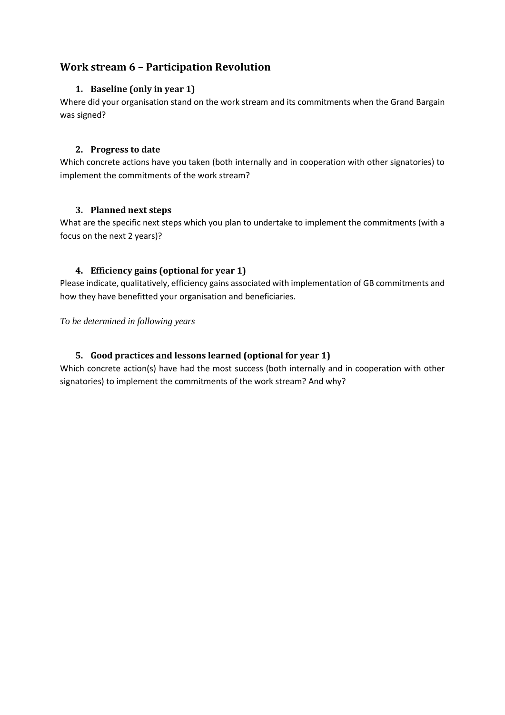# <span id="page-9-1"></span><span id="page-9-0"></span>**Work stream 6 – Participation Revolution**

#### **1. Baseline (only in year 1)**

Where did your organisation stand on the work stream and its commitments when the Grand Bargain was signed?

#### <span id="page-9-2"></span>**2. Progress to date**

Which concrete actions have you taken (both internally and in cooperation with other signatories) to implement the commitments of the work stream?

#### <span id="page-9-3"></span>**3. Planned next steps**

What are the specific next steps which you plan to undertake to implement the commitments (with a focus on the next 2 years)?

#### <span id="page-9-4"></span>**4. Efficiency gains (optional for year 1)**

Please indicate, qualitatively, efficiency gains associated with implementation of GB commitments and how they have benefitted your organisation and beneficiaries.

*To be determined in following years*

# <span id="page-9-5"></span>**5. Good practices and lessons learned (optional for year 1)**

Which concrete action(s) have had the most success (both internally and in cooperation with other signatories) to implement the commitments of the work stream? And why?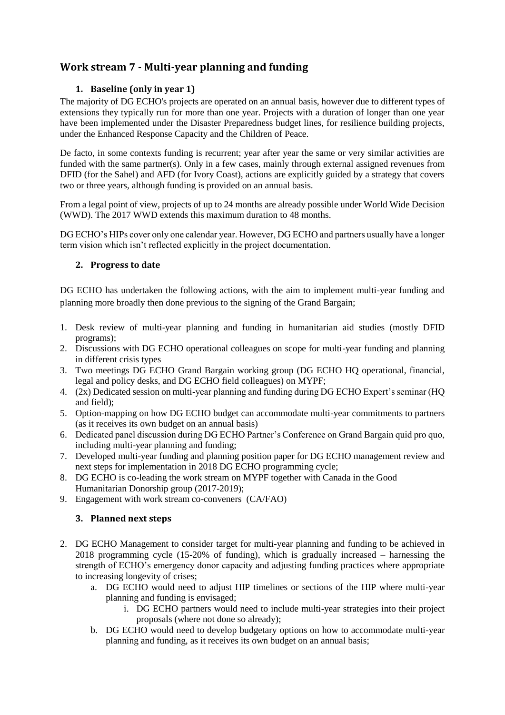# <span id="page-10-1"></span><span id="page-10-0"></span>**Work stream 7 - Multi-year planning and funding**

# **1. Baseline (only in year 1)**

The majority of DG ECHO's projects are operated on an annual basis, however due to different types of extensions they typically run for more than one year. Projects with a duration of longer than one year have been implemented under the Disaster Preparedness budget lines, for resilience building projects, under the Enhanced Response Capacity and the Children of Peace.

De facto, in some contexts funding is recurrent; year after year the same or very similar activities are funded with the same partner(s). Only in a few cases, mainly through external assigned revenues from DFID (for the Sahel) and AFD (for Ivory Coast), actions are explicitly guided by a strategy that covers two or three years, although funding is provided on an annual basis.

From a legal point of view, projects of up to 24 months are already possible under World Wide Decision (WWD). The 2017 WWD extends this maximum duration to 48 months.

DG ECHO's HIPs cover only one calendar year. However, DG ECHO and partners usually have a longer term vision which isn't reflected explicitly in the project documentation.

#### <span id="page-10-2"></span>**2. Progress to date**

DG ECHO has undertaken the following actions, with the aim to implement multi-year funding and planning more broadly then done previous to the signing of the Grand Bargain;

- 1. Desk review of multi-year planning and funding in humanitarian aid studies (mostly DFID programs);
- 2. Discussions with DG ECHO operational colleagues on scope for multi-year funding and planning in different crisis types
- 3. Two meetings DG ECHO Grand Bargain working group (DG ECHO HQ operational, financial, legal and policy desks, and DG ECHO field colleagues) on MYPF;
- 4. (2x) Dedicated session on multi-year planning and funding during DG ECHO Expert's seminar (HQ and field);
- 5. Option-mapping on how DG ECHO budget can accommodate multi-year commitments to partners (as it receives its own budget on an annual basis)
- 6. Dedicated panel discussion during DG ECHO Partner's Conference on Grand Bargain quid pro quo, including multi-year planning and funding;
- 7. Developed multi-year funding and planning position paper for DG ECHO management review and next steps for implementation in 2018 DG ECHO programming cycle;
- 8. DG ECHO is co-leading the work stream on MYPF together with Canada in the Good Humanitarian Donorship group (2017-2019);
- <span id="page-10-3"></span>9. Engagement with work stream co-conveners (CA/FAO)

#### **3. Planned next steps**

- 2. DG ECHO Management to consider target for multi-year planning and funding to be achieved in 2018 programming cycle (15-20% of funding), which is gradually increased – harnessing the strength of ECHO's emergency donor capacity and adjusting funding practices where appropriate to increasing longevity of crises;
	- a. DG ECHO would need to adjust HIP timelines or sections of the HIP where multi-year planning and funding is envisaged;
		- i. DG ECHO partners would need to include multi-year strategies into their project proposals (where not done so already);
	- b. DG ECHO would need to develop budgetary options on how to accommodate multi-year planning and funding, as it receives its own budget on an annual basis;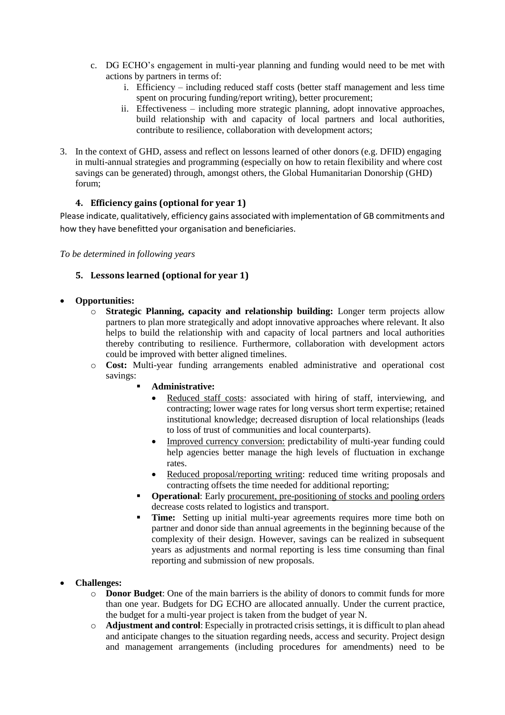- c. DG ECHO's engagement in multi-year planning and funding would need to be met with actions by partners in terms of:
	- i. Efficiency including reduced staff costs (better staff management and less time spent on procuring funding/report writing), better procurement;
	- ii. Effectiveness including more strategic planning, adopt innovative approaches, build relationship with and capacity of local partners and local authorities, contribute to resilience, collaboration with development actors;
- 3. In the context of GHD, assess and reflect on lessons learned of other donors (e.g. DFID) engaging in multi-annual strategies and programming (especially on how to retain flexibility and where cost savings can be generated) through, amongst others, the Global Humanitarian Donorship (GHD) forum;

#### <span id="page-11-0"></span>**4. Efficiency gains (optional for year 1)**

Please indicate, qualitatively, efficiency gains associated with implementation of GB commitments and how they have benefitted your organisation and beneficiaries.

<span id="page-11-1"></span>*To be determined in following years*

#### **5. Lessons learned (optional for year 1)**

#### **Opportunities:**

- o **Strategic Planning, capacity and relationship building:** Longer term projects allow partners to plan more strategically and adopt innovative approaches where relevant. It also helps to build the relationship with and capacity of local partners and local authorities thereby contributing to resilience. Furthermore, collaboration with development actors could be improved with better aligned timelines.
- o **Cost:** Multi-year funding arrangements enabled administrative and operational cost savings:
	- **Administrative:**
		- Reduced staff costs: associated with hiring of staff, interviewing, and contracting; lower wage rates for long versus short term expertise; retained institutional knowledge; decreased disruption of local relationships (leads to loss of trust of communities and local counterparts).
		- Improved currency conversion: predictability of multi-year funding could help agencies better manage the high levels of fluctuation in exchange rates.
		- Reduced proposal/reporting writing: reduced time writing proposals and contracting offsets the time needed for additional reporting;
	- **Operational:** Early procurement, pre-positioning of stocks and pooling orders decrease costs related to logistics and transport.
	- **Time:** Setting up initial multi-year agreements requires more time both on partner and donor side than annual agreements in the beginning because of the complexity of their design. However, savings can be realized in subsequent years as adjustments and normal reporting is less time consuming than final reporting and submission of new proposals.
- **Challenges:** 
	- o **Donor Budget**: One of the main barriers is the ability of donors to commit funds for more than one year. Budgets for DG ECHO are allocated annually. Under the current practice, the budget for a multi-year project is taken from the budget of year N.
	- o **Adjustment and control**: Especially in protracted crisis settings, it is difficult to plan ahead and anticipate changes to the situation regarding needs, access and security. Project design and management arrangements (including procedures for amendments) need to be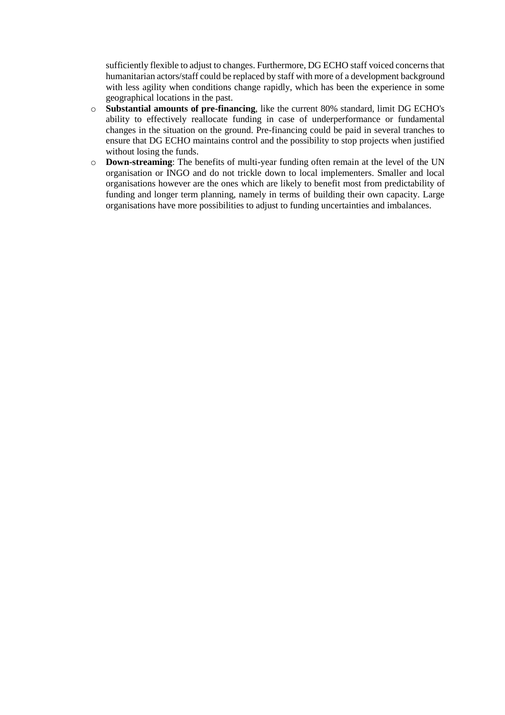sufficiently flexible to adjust to changes. Furthermore, DG ECHO staff voiced concerns that humanitarian actors/staff could be replaced by staff with more of a development background with less agility when conditions change rapidly, which has been the experience in some geographical locations in the past.

- o **Substantial amounts of pre-financing**, like the current 80% standard, limit DG ECHO's ability to effectively reallocate funding in case of underperformance or fundamental changes in the situation on the ground. Pre-financing could be paid in several tranches to ensure that DG ECHO maintains control and the possibility to stop projects when justified without losing the funds.
- o **Down-streaming**: The benefits of multi-year funding often remain at the level of the UN organisation or INGO and do not trickle down to local implementers. Smaller and local organisations however are the ones which are likely to benefit most from predictability of funding and longer term planning, namely in terms of building their own capacity. Large organisations have more possibilities to adjust to funding uncertainties and imbalances.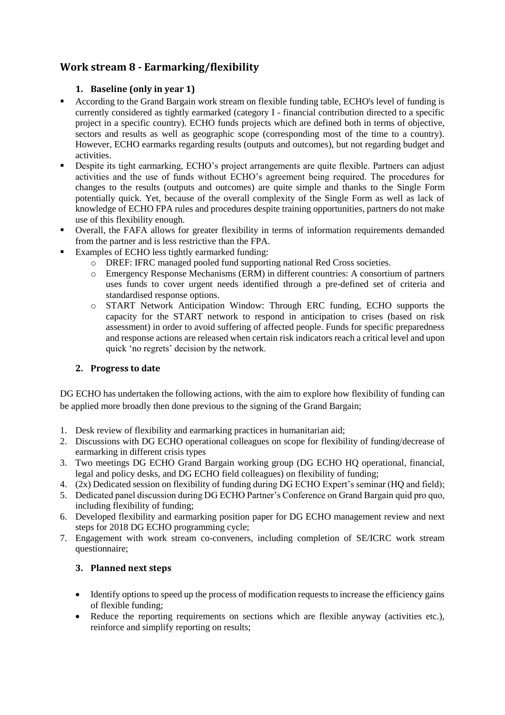# <span id="page-13-1"></span><span id="page-13-0"></span>**Work stream 8 - Earmarking/flexibility**

# **1. Baseline (only in year 1)**

- According to the Grand Bargain work stream on flexible funding table, ECHO's level of funding is currently considered as tightly earmarked (category I - financial contribution directed to a specific project in a specific country). ECHO funds projects which are defined both in terms of objective, sectors and results as well as geographic scope (corresponding most of the time to a country). However, ECHO earmarks regarding results (outputs and outcomes), but not regarding budget and activities.
- Despite its tight earmarking, ECHO's project arrangements are quite flexible. Partners can adjust activities and the use of funds without ECHO's agreement being required. The procedures for changes to the results (outputs and outcomes) are quite simple and thanks to the Single Form potentially quick. Yet, because of the overall complexity of the Single Form as well as lack of knowledge of ECHO FPA rules and procedures despite training opportunities, partners do not make use of this flexibility enough.
- Overall, the FAFA allows for greater flexibility in terms of information requirements demanded from the partner and is less restrictive than the FPA.
- Examples of ECHO less tightly earmarked funding:
	- o DREF: IFRC managed pooled fund supporting national Red Cross societies.
	- o Emergency Response Mechanisms (ERM) in different countries: A consortium of partners uses funds to cover urgent needs identified through a pre-defined set of criteria and standardised response options.
	- o START Network Anticipation Window: Through ERC funding, ECHO supports the capacity for the START network to respond in anticipation to crises (based on risk assessment) in order to avoid suffering of affected people. Funds for specific preparedness and response actions are released when certain risk indicators reach a critical level and upon quick 'no regrets' decision by the network.

# <span id="page-13-2"></span>**2. Progress to date**

DG ECHO has undertaken the following actions, with the aim to explore how flexibility of funding can be applied more broadly then done previous to the signing of the Grand Bargain;

- 1. Desk review of flexibility and earmarking practices in humanitarian aid;
- 2. Discussions with DG ECHO operational colleagues on scope for flexibility of funding/decrease of earmarking in different crisis types
- 3. Two meetings DG ECHO Grand Bargain working group (DG ECHO HQ operational, financial, legal and policy desks, and DG ECHO field colleagues) on flexibility of funding;
- 4. (2x) Dedicated session on flexibility of funding during DG ECHO Expert's seminar (HQ and field);
- 5. Dedicated panel discussion during DG ECHO Partner's Conference on Grand Bargain quid pro quo, including flexibility of funding;
- 6. Developed flexibility and earmarking position paper for DG ECHO management review and next steps for 2018 DG ECHO programming cycle;
- 7. Engagement with work stream co-conveners, including completion of SE/ICRC work stream questionnaire;

# <span id="page-13-3"></span>**3. Planned next steps**

- Identify options to speed up the process of modification requests to increase the efficiency gains of flexible funding;
- Reduce the reporting requirements on sections which are flexible anyway (activities etc.), reinforce and simplify reporting on results;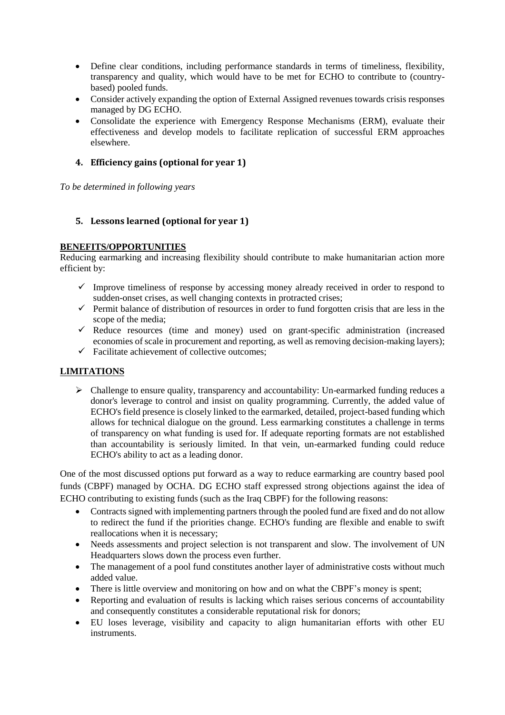- Define clear conditions, including performance standards in terms of timeliness, flexibility, transparency and quality, which would have to be met for ECHO to contribute to (countrybased) pooled funds.
- Consider actively expanding the option of External Assigned revenues towards crisis responses managed by DG ECHO.
- Consolidate the experience with Emergency Response Mechanisms (ERM), evaluate their effectiveness and develop models to facilitate replication of successful ERM approaches elsewhere.

#### <span id="page-14-0"></span>**4. Efficiency gains (optional for year 1)**

*To be determined in following years*

#### <span id="page-14-1"></span>**5. Lessons learned (optional for year 1)**

#### **BENEFITS/OPPORTUNITIES**

Reducing earmarking and increasing flexibility should contribute to make humanitarian action more efficient by:

- $\checkmark$  Improve timeliness of response by accessing money already received in order to respond to sudden-onset crises, as well changing contexts in protracted crises;
- $\checkmark$  Permit balance of distribution of resources in order to fund forgotten crisis that are less in the scope of the media;
- $\checkmark$  Reduce resources (time and money) used on grant-specific administration (increased economies of scale in procurement and reporting, as well as removing decision-making layers);
- $\checkmark$  Facilitate achievement of collective outcomes:

#### **LIMITATIONS**

 $\triangleright$  Challenge to ensure quality, transparency and accountability: Un-earmarked funding reduces a donor's leverage to control and insist on quality programming. Currently, the added value of ECHO's field presence is closely linked to the earmarked, detailed, project-based funding which allows for technical dialogue on the ground. Less earmarking constitutes a challenge in terms of transparency on what funding is used for. If adequate reporting formats are not established than accountability is seriously limited. In that vein, un-earmarked funding could reduce ECHO's ability to act as a leading donor.

One of the most discussed options put forward as a way to reduce earmarking are country based pool funds (CBPF) managed by OCHA. DG ECHO staff expressed strong objections against the idea of ECHO contributing to existing funds (such as the Iraq CBPF) for the following reasons:

- Contracts signed with implementing partners through the pooled fund are fixed and do not allow to redirect the fund if the priorities change. ECHO's funding are flexible and enable to swift reallocations when it is necessary;
- Needs assessments and project selection is not transparent and slow. The involvement of UN Headquarters slows down the process even further.
- The management of a pool fund constitutes another layer of administrative costs without much added value.
- There is little overview and monitoring on how and on what the CBPF's money is spent;
- Reporting and evaluation of results is lacking which raises serious concerns of accountability and consequently constitutes a considerable reputational risk for donors;
- EU loses leverage, visibility and capacity to align humanitarian efforts with other EU instruments.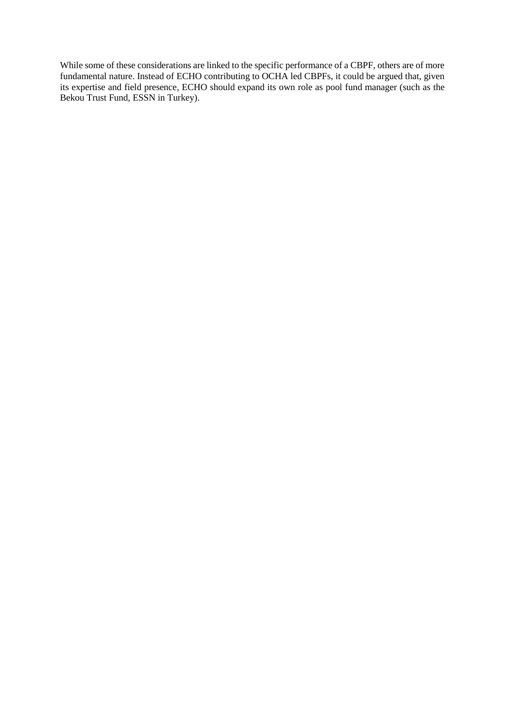While some of these considerations are linked to the specific performance of a CBPF, others are of more fundamental nature. Instead of ECHO contributing to OCHA led CBPFs, it could be argued that, given its expertise and field presence, ECHO should expand its own role as pool fund manager (such as the Bekou Trust Fund, ESSN in Turkey).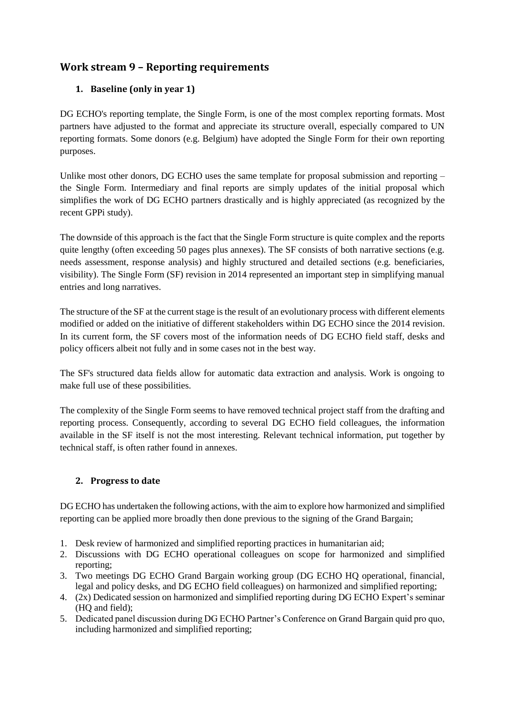# <span id="page-16-1"></span><span id="page-16-0"></span>**Work stream 9 – Reporting requirements**

# **1. Baseline (only in year 1)**

DG ECHO's reporting template, the Single Form, is one of the most complex reporting formats. Most partners have adjusted to the format and appreciate its structure overall, especially compared to UN reporting formats. Some donors (e.g. Belgium) have adopted the Single Form for their own reporting purposes.

Unlike most other donors, DG ECHO uses the same template for proposal submission and reporting – the Single Form. Intermediary and final reports are simply updates of the initial proposal which simplifies the work of DG ECHO partners drastically and is highly appreciated (as recognized by the recent GPPi study).

The downside of this approach is the fact that the Single Form structure is quite complex and the reports quite lengthy (often exceeding 50 pages plus annexes). The SF consists of both narrative sections (e.g. needs assessment, response analysis) and highly structured and detailed sections (e.g. beneficiaries, visibility). The Single Form (SF) revision in 2014 represented an important step in simplifying manual entries and long narratives.

The structure of the SF at the current stage is the result of an evolutionary process with different elements modified or added on the initiative of different stakeholders within DG ECHO since the 2014 revision. In its current form, the SF covers most of the information needs of DG ECHO field staff, desks and policy officers albeit not fully and in some cases not in the best way.

The SF's structured data fields allow for automatic data extraction and analysis. Work is ongoing to make full use of these possibilities.

The complexity of the Single Form seems to have removed technical project staff from the drafting and reporting process. Consequently, according to several DG ECHO field colleagues, the information available in the SF itself is not the most interesting. Relevant technical information, put together by technical staff, is often rather found in annexes.

# <span id="page-16-2"></span>**2. Progress to date**

DG ECHO has undertaken the following actions, with the aim to explore how harmonized and simplified reporting can be applied more broadly then done previous to the signing of the Grand Bargain;

- 1. Desk review of harmonized and simplified reporting practices in humanitarian aid;
- 2. Discussions with DG ECHO operational colleagues on scope for harmonized and simplified reporting;
- 3. Two meetings DG ECHO Grand Bargain working group (DG ECHO HQ operational, financial, legal and policy desks, and DG ECHO field colleagues) on harmonized and simplified reporting;
- 4. (2x) Dedicated session on harmonized and simplified reporting during DG ECHO Expert's seminar (HQ and field);
- 5. Dedicated panel discussion during DG ECHO Partner's Conference on Grand Bargain quid pro quo, including harmonized and simplified reporting;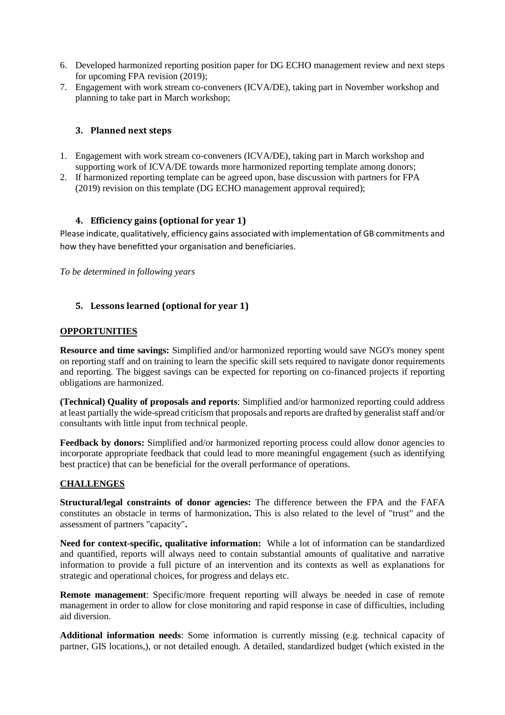- 6. Developed harmonized reporting position paper for DG ECHO management review and next steps for upcoming FPA revision (2019);
- 7. Engagement with work stream co-conveners (ICVA/DE), taking part in November workshop and planning to take part in March workshop;

#### <span id="page-17-0"></span>**3. Planned next steps**

- 1. Engagement with work stream co-conveners (ICVA/DE), taking part in March workshop and supporting work of ICVA/DE towards more harmonized reporting template among donors;
- 2. If harmonized reporting template can be agreed upon, base discussion with partners for FPA (2019) revision on this template (DG ECHO management approval required);

#### <span id="page-17-1"></span>**4. Efficiency gains (optional for year 1)**

Please indicate, qualitatively, efficiency gains associated with implementation of GB commitments and how they have benefitted your organisation and beneficiaries.

*To be determined in following years*

#### <span id="page-17-2"></span>**5. Lessons learned (optional for year 1)**

#### **OPPORTUNITIES**

**Resource and time savings:** Simplified and/or harmonized reporting would save NGO's money spent on reporting staff and on training to learn the specific skill sets required to navigate donor requirements and reporting. The biggest savings can be expected for reporting on co-financed projects if reporting obligations are harmonized.

**(Technical) Quality of proposals and reports**: Simplified and/or harmonized reporting could address at least partially the wide-spread criticism that proposals and reports are drafted by generalist staff and/or consultants with little input from technical people.

Feedback by donors: Simplified and/or harmonized reporting process could allow donor agencies to incorporate appropriate feedback that could lead to more meaningful engagement (such as identifying best practice) that can be beneficial for the overall performance of operations.

#### **CHALLENGES**

**Structural/legal constraints of donor agencies:** The difference between the FPA and the FAFA constitutes an obstacle in terms of harmonization**.** This is also related to the level of "trust" and the assessment of partners "capacity"**.**

**Need for context-specific, qualitative information:** While a lot of information can be standardized and quantified, reports will always need to contain substantial amounts of qualitative and narrative information to provide a full picture of an intervention and its contexts as well as explanations for strategic and operational choices, for progress and delays etc.

**Remote management**: Specific/more frequent reporting will always be needed in case of remote management in order to allow for close monitoring and rapid response in case of difficulties, including aid diversion.

**Additional information needs**: Some information is currently missing (e.g. technical capacity of partner, GIS locations,), or not detailed enough. A detailed, standardized budget (which existed in the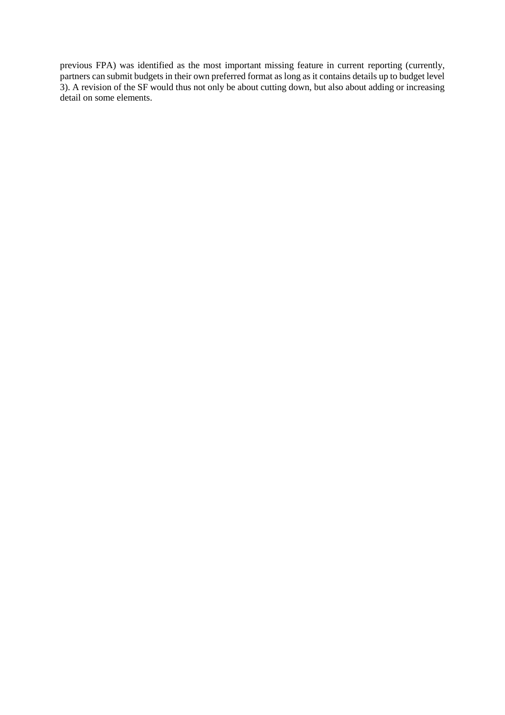previous FPA) was identified as the most important missing feature in current reporting (currently, partners can submit budgets in their own preferred format as long as it contains details up to budget level 3). A revision of the SF would thus not only be about cutting down, but also about adding or increasing detail on some elements.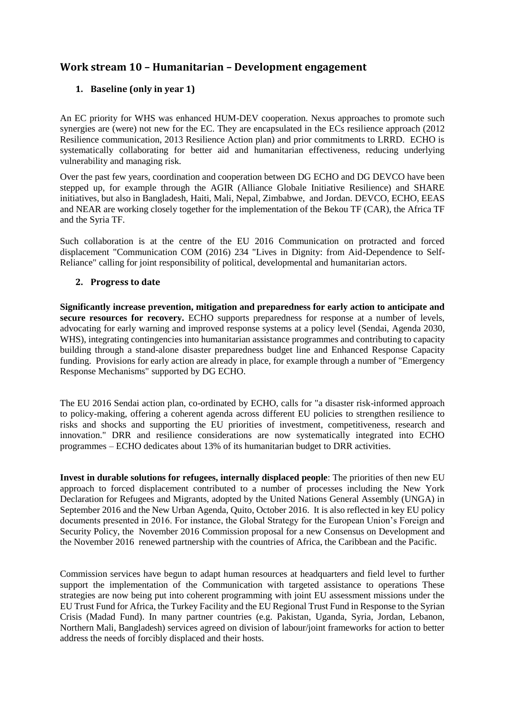# <span id="page-19-1"></span><span id="page-19-0"></span>**Work stream 10 – Humanitarian – Development engagement**

# **1. Baseline (only in year 1)**

An EC priority for WHS was enhanced HUM-DEV cooperation. Nexus approaches to promote such synergies are (were) not new for the EC. They are encapsulated in the ECs resilience approach (2012 Resilience communication, 2013 Resilience Action plan) and prior commitments to LRRD. ECHO is systematically collaborating for better aid and humanitarian effectiveness, reducing underlying vulnerability and managing risk.

Over the past few years, coordination and cooperation between DG ECHO and DG DEVCO have been stepped up, for example through the AGIR (Alliance Globale Initiative Resilience) and SHARE initiatives, but also in Bangladesh, Haiti, Mali, Nepal, Zimbabwe, and Jordan. DEVCO, ECHO, EEAS and NEAR are working closely together for the implementation of the Bekou TF (CAR), the Africa TF and the Syria TF.

Such collaboration is at the centre of the EU 2016 Communication on protracted and forced displacement "Communication COM (2016) 234 "Lives in Dignity: from Aid-Dependence to Self-Reliance" calling for joint responsibility of political, developmental and humanitarian actors.

#### <span id="page-19-2"></span>**2. Progress to date**

**Significantly increase prevention, mitigation and preparedness for early action to anticipate and secure resources for recovery.** ECHO supports preparedness for response at a number of levels, advocating for early warning and improved response systems at a policy level (Sendai, Agenda 2030, WHS), integrating contingencies into humanitarian assistance programmes and contributing to capacity building through a stand-alone disaster preparedness budget line and Enhanced Response Capacity funding. Provisions for early action are already in place, for example through a number of "Emergency Response Mechanisms" supported by DG ECHO.

The EU 2016 Sendai action plan, co-ordinated by ECHO, calls for "a disaster risk-informed approach to policy-making, offering a coherent agenda across different EU policies to strengthen resilience to risks and shocks and supporting the EU priorities of investment, competitiveness, research and innovation." DRR and resilience considerations are now systematically integrated into ECHO programmes – ECHO dedicates about 13% of its humanitarian budget to DRR activities.

**Invest in durable solutions for refugees, internally displaced people**: The priorities of then new EU approach to forced displacement contributed to a number of processes including the New York Declaration for Refugees and Migrants, adopted by the United Nations General Assembly (UNGA) in September 2016 and the New Urban Agenda, Quito, October 2016. It is also reflected in key EU policy documents presented in 2016. For instance, the Global Strategy for the European Union's Foreign and Security Policy, the November 2016 Commission proposal for a new Consensus on Development and the November 2016 renewed partnership with the countries of Africa, the Caribbean and the Pacific.

Commission services have begun to adapt human resources at headquarters and field level to further support the implementation of the Communication with targeted assistance to operations These strategies are now being put into coherent programming with joint EU assessment missions under the EU Trust Fund for Africa, the Turkey Facility and the EU Regional Trust Fund in Response to the Syrian Crisis (Madad Fund). In many partner countries (e.g. Pakistan, Uganda, Syria, Jordan, Lebanon, Northern Mali, Bangladesh) services agreed on division of labour/joint frameworks for action to better address the needs of forcibly displaced and their hosts.